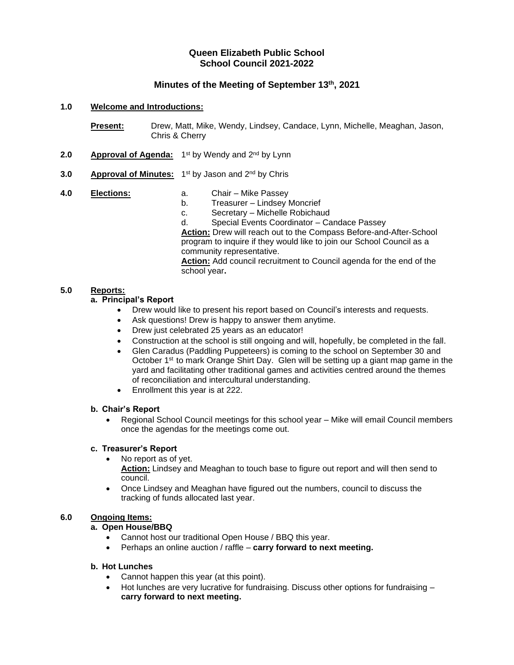# **Queen Elizabeth Public School School Council 2021-2022**

# **Minutes of the Meeting of September 13 th , 2021**

#### **1.0 Welcome and Introductions:**

**Present:** Drew, Matt, Mike, Wendy, Lindsey, Candace, Lynn, Michelle, Meaghan, Jason, Chris & Cherry

- 2.0 **Approval of Agenda:** 1<sup>st</sup> by Wendy and 2<sup>nd</sup> by Lynn
- **3.0** Approval of Minutes: 1<sup>st</sup> by Jason and 2<sup>nd</sup> by Chris
- **4.0 Elections:** a. Chair Mike Passey b. Treasurer – Lindsey Moncrief c. Secretary – Michelle Robichaud d. Special Events Coordinator – Candace Passey **Action:** Drew will reach out to the Compass Before-and-After-School program to inquire if they would like to join our School Council as a community representative. **Action:** Add council recruitment to Council agenda for the end of the school year**.**

## **5.0 Reports:**

## **a. Principal's Report**

- Drew would like to present his report based on Council's interests and requests.
- Ask questions! Drew is happy to answer them anytime.
- Drew just celebrated 25 years as an educator!
- Construction at the school is still ongoing and will, hopefully, be completed in the fall.
- Glen Caradus (Paddling Puppeteers) is coming to the school on September 30 and October 1<sup>st</sup> to mark Orange Shirt Day. Glen will be setting up a giant map game in the yard and facilitating other traditional games and activities centred around the themes of reconciliation and intercultural understanding.
- Enrollment this year is at 222.

#### **b. Chair's Report**

• Regional School Council meetings for this school year – Mike will email Council members once the agendas for the meetings come out.

#### **c. Treasurer's Report**

- No report as of yet.
	- **Action:** Lindsey and Meaghan to touch base to figure out report and will then send to council.
- Once Lindsey and Meaghan have figured out the numbers, council to discuss the tracking of funds allocated last year.

## **6.0 Ongoing Items:**

#### **a. Open House/BBQ**

- Cannot host our traditional Open House / BBQ this year.
- Perhaps an online auction / raffle **carry forward to next meeting.**

#### **b. Hot Lunches**

- Cannot happen this year (at this point).
- Hot lunches are very lucrative for fundraising. Discuss other options for fundraising **carry forward to next meeting.**